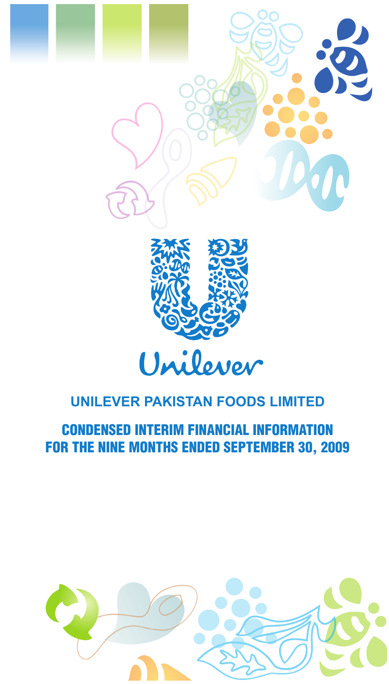



CONDENSED INTERIM FINANCIAL INFORMATION FOR THE NINE MONTHS ENDED SEPTEMBER 30, 2009

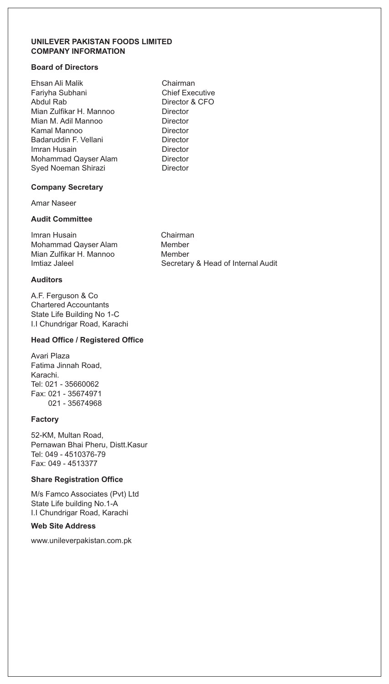#### **UNILEVER PAKISTAN FOODS LIMITED COMPANY INFORMATION**

### **Board of Directors**

Ehsan Ali Malik Chairman Fariyha Subhani Chief Executive Abdul Rab Director & CFO Mian Zulfikar H. Mannoo Director Mian M. Adil Mannoo Director Kamal Mannoo **Director** Badaruddin F. Vellani **Director** Imran Husain Director Mohammad Qayser Alam Syed Noeman Shirazi **Director** 

#### **Company Secretary**

Amar Naseer

### **Audit Committee**

Imran Husain Chairman Mohammad Qayser Alam Member Mian Zulfikar H. Mannoo Member<br>Imtiaz Jaleel Mannoo Secretar

### **Auditors**

A.F. Ferguson & Co Chartered Accountants State Life Building No 1-C I.I Chundrigar Road, Karachi

#### **Head Office / Registered Office**

Avari Plaza Fatima Jinnah Road, Karachi. Tel: 021 - 35660062 Fax: 021 - 35674971 021 - 35674968

#### **Factory**

52-KM, Multan Road, Pernawan Bhai Pheru, Distt.Kasur Tel: 049 - 4510376-79 Fax: 049 - 4513377

### **Share Registration Office**

M/s Famco Associates (Pvt) Ltd State Life building No.1-A I.I Chundrigar Road, Karachi

### **Web Site Address**

www.unileverpakistan.com.pk

Secretary & Head of Internal Audit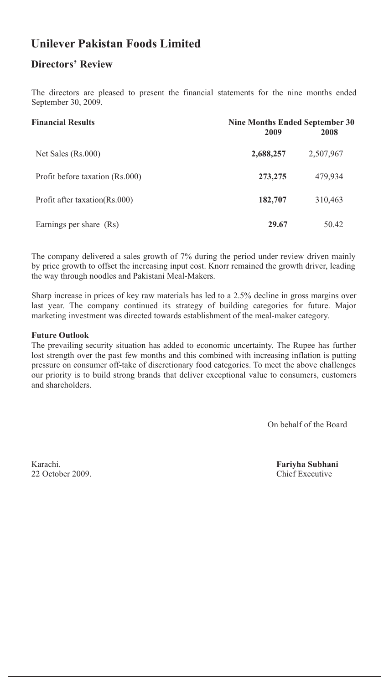## **Unilever Pakistan Foods Limited**

### **Directors' Review**

The directors are pleased to present the financial statements for the nine months ended September 30, 2009.

| <b>Financial Results</b>        | Nine Months Ended September 30<br>2009 | 2008      |
|---------------------------------|----------------------------------------|-----------|
| Net Sales (Rs.000)              | 2,688,257                              | 2,507,967 |
| Profit before taxation (Rs.000) | 273, 275                               | 479,934   |
| Profit after taxation(Rs.000)   | 182,707                                | 310,463   |
| Earnings per share (Rs)         | 29.67                                  | 50.42     |

The company delivered a sales growth of 7% during the period under review driven mainly by price growth to offset the increasing input cost. Knorr remained the growth driver, leading the way through noodles and Pakistani Meal-Makers.

Sharp increase in prices of key raw materials has led to a 2.5% decline in gross margins over last year. The company continued its strategy of building categories for future. Major marketing investment was directed towards establishment of the meal-maker category.

### **Futur e Outlook**

The prevailing security situation has added to economic uncertainty. The Rupee has further lost strength over the past few months and this combined with increasing inflation is putting pressure on consumer off-take of discretionary food categories. To meet the above challenges our priority is to build strong brands that deliver exceptional value to consumers, customers and shareholders.

On behalf of the Board

22 October 2009. Chief Executive

Karachi. **Fariyha Subhani**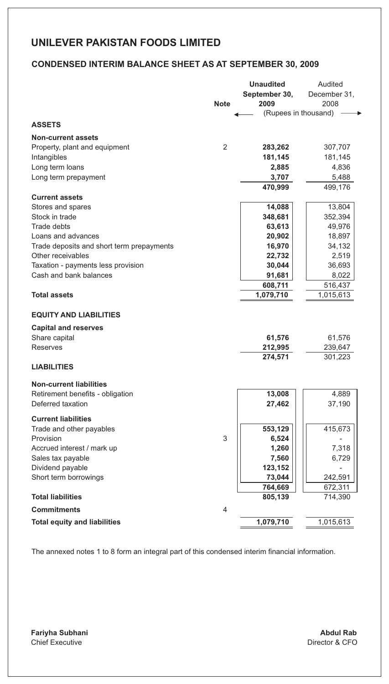### **CONDENSED INTERIM BALANCE SHEET AS AT SEPTEMBER 30, 2009**

|                                                                |                | <b>Unaudited</b>     | Audited         |
|----------------------------------------------------------------|----------------|----------------------|-----------------|
|                                                                |                | September 30,        | December 31,    |
|                                                                | <b>Note</b>    | 2009                 | 2008            |
|                                                                |                | (Rupees in thousand) |                 |
| <b>ASSETS</b>                                                  |                |                      |                 |
| <b>Non-current assets</b>                                      |                |                      |                 |
| Property, plant and equipment                                  | 2              | 283,262              | 307,707         |
| Intangibles                                                    |                | 181,145              | 181,145         |
|                                                                |                |                      |                 |
| Long term loans                                                |                | 2,885<br>3,707       | 4,836<br>5,488  |
| Long term prepayment                                           |                |                      |                 |
|                                                                |                | 470,999              | 499,176         |
| <b>Current assets</b>                                          |                |                      |                 |
| Stores and spares<br>Stock in trade                            |                | 14,088               | 13,804          |
| Trade debts                                                    |                | 348,681              | 352,394         |
|                                                                |                | 63,613               | 49,976          |
| Loans and advances                                             |                | 20,902               | 18,897          |
| Trade deposits and short term prepayments<br>Other receivables |                | 16,970               | 34,132          |
|                                                                |                | 22,732               | 2,519           |
| Taxation - payments less provision<br>Cash and bank balances   |                | 30,044<br>91,681     | 36,693<br>8,022 |
|                                                                |                |                      | 516,437         |
| <b>Total assets</b>                                            |                | 608,711<br>1,079,710 | 1,015,613       |
|                                                                |                |                      |                 |
| <b>EQUITY AND LIABILITIES</b>                                  |                |                      |                 |
| <b>Capital and reserves</b>                                    |                |                      |                 |
| Share capital                                                  |                | 61,576               | 61,576          |
| Reserves                                                       |                | 212,995              | 239,647         |
|                                                                |                | 274,571              | 301,223         |
| <b>LIABILITIES</b>                                             |                |                      |                 |
| <b>Non-current liabilities</b>                                 |                |                      |                 |
| Retirement benefits - obligation                               |                | 13,008               | 4,889           |
| Deferred taxation                                              |                | 27,462               | 37,190          |
|                                                                |                |                      |                 |
| <b>Current liabilities</b>                                     |                |                      |                 |
| Trade and other payables                                       |                | 553,129              | 415,673         |
| Provision                                                      | 3              | 6,524                |                 |
| Accrued interest / mark up                                     |                | 1,260                | 7,318           |
| Sales tax payable                                              |                | 7,560                | 6,729           |
| Dividend payable                                               |                | 123,152<br>73,044    | 242,591         |
| Short term borrowings                                          |                |                      |                 |
| <b>Total liabilities</b>                                       |                | 764,669              | 672,311         |
|                                                                |                | 805,139              | 714,390         |
| <b>Commitments</b>                                             | $\overline{4}$ |                      |                 |
| <b>Total equity and liabilities</b>                            |                | 1,079,710            | 1,015,613       |
|                                                                |                |                      |                 |

 The annexed notes 1 to 8 form an integral part of this condensed interim financial information.

**Fariyha Subhani** Chief Executive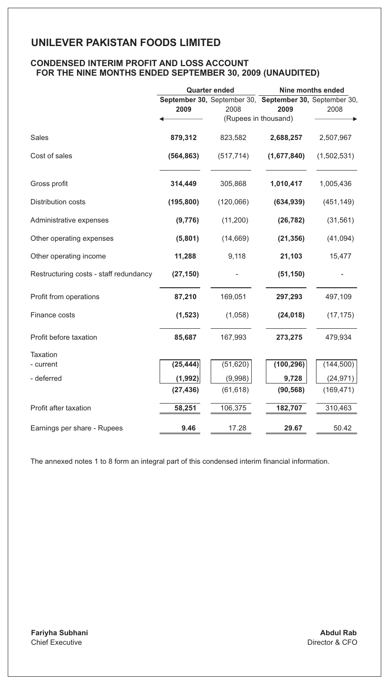### **CONDENSED INTERIM PROFIT AND LOSS ACCOUNT FOR THE NINE MONTHS ENDED SEPTEMBER 30, 2009 (UNAUDITED)**

|                                        | <b>Quarter ended</b> |                              | Nine months ended                                       |             |
|----------------------------------------|----------------------|------------------------------|---------------------------------------------------------|-------------|
|                                        |                      |                              | September 30, September 30, September 30, September 30, |             |
|                                        | 2009                 | 2008<br>(Rupees in thousand) | 2009                                                    | 2008        |
|                                        |                      |                              |                                                         |             |
| <b>Sales</b>                           | 879,312              | 823,582                      | 2,688,257                                               | 2,507,967   |
| Cost of sales                          | (564, 863)           | (517, 714)                   | (1,677,840)                                             | (1,502,531) |
| Gross profit                           | 314,449              | 305,868                      | 1,010,417                                               | 1,005,436   |
| <b>Distribution costs</b>              | (195, 800)           | (120,066)                    | (634, 939)                                              | (451, 149)  |
| Administrative expenses                | (9,776)              | (11, 200)                    | (26, 782)                                               | (31, 561)   |
| Other operating expenses               | (5,801)              | (14, 669)                    | (21, 356)                                               | (41,094)    |
| Other operating income                 | 11,288               | 9,118                        | 21,103                                                  | 15,477      |
| Restructuring costs - staff redundancy | (27, 150)            |                              | (51, 150)                                               |             |
| Profit from operations                 | 87,210               | 169,051                      | 297,293                                                 | 497,109     |
| Finance costs                          | (1, 523)             | (1,058)                      | (24, 018)                                               | (17, 175)   |
| Profit before taxation                 | 85,687               | 167,993                      | 273,275                                                 | 479,934     |
| <b>Taxation</b>                        |                      |                              |                                                         |             |
| - current                              | (25, 444)            | (51, 620)                    | (100, 296)                                              | (144, 500)  |
| - deferred                             | (1, 992)             | (9,998)                      | 9,728                                                   | (24, 971)   |
|                                        | (27, 436)            | (61, 618)                    | (90, 568)                                               | (169, 471)  |
| Profit after taxation                  | 58,251               | 106,375                      | 182,707                                                 | 310,463     |
| Earnings per share - Rupees            | 9.46                 | 17.28                        | 29.67                                                   | 50.42       |

 The annexed notes 1 to 8 form an integral part of this condensed interim financial information.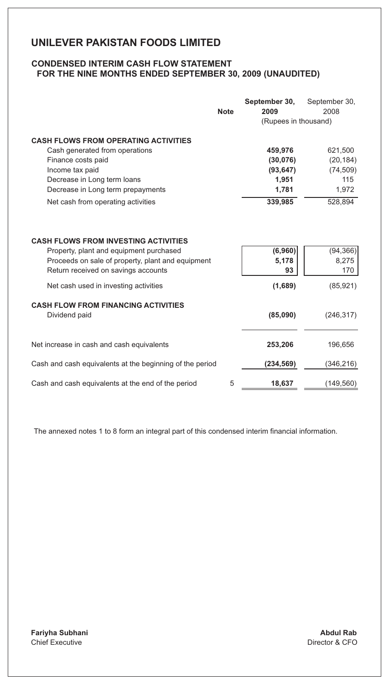### **CONDENSED INTERIM CASH FLOW STATEMENT FOR THE NINE MONTHS ENDED SEPTEMBER 30, 2009 (UNAUDITED)**

|                                                                                                                                                                                    | <b>Note</b> | September 30,<br>2009  | September 30,<br>2008     |
|------------------------------------------------------------------------------------------------------------------------------------------------------------------------------------|-------------|------------------------|---------------------------|
|                                                                                                                                                                                    |             | (Rupees in thousand)   |                           |
| <b>CASH FLOWS FROM OPERATING ACTIVITIES</b>                                                                                                                                        |             |                        |                           |
| Cash generated from operations                                                                                                                                                     |             | 459,976                | 621,500                   |
| Finance costs paid                                                                                                                                                                 |             | (30,076)               | (20, 184)                 |
| Income tax paid                                                                                                                                                                    |             | (93, 647)              | (74, 509)                 |
| Decrease in Long term loans                                                                                                                                                        |             | 1,951                  | 115                       |
| Decrease in Long term prepayments                                                                                                                                                  |             | 1,781                  | 1,972                     |
| Net cash from operating activities                                                                                                                                                 |             | 339,985                | 528,894                   |
| <b>CASH FLOWS FROM INVESTING ACTIVITIES</b><br>Property, plant and equipment purchased<br>Proceeds on sale of property, plant and equipment<br>Return received on savings accounts |             | (6,960)<br>5,178<br>93 | (94, 366)<br>8,275<br>170 |
| Net cash used in investing activities                                                                                                                                              |             | (1,689)                | (85, 921)                 |
| <b>CASH FLOW FROM FINANCING ACTIVITIES</b><br>Dividend paid                                                                                                                        |             | (85,090)               | (246, 317)                |
| Net increase in cash and cash equivalents                                                                                                                                          |             | 253,206                | 196,656                   |
| Cash and cash equivalents at the beginning of the period                                                                                                                           |             | (234,569)              | (346, 216)                |
| Cash and cash equivalents at the end of the period                                                                                                                                 | 5           | 18,637                 | (149, 560)                |

 The annexed notes 1 to 8 form an integral part of this condensed interim financial information.

**Fariyha Subhani** Chief Executive

**Abdul Rab** Director & CFO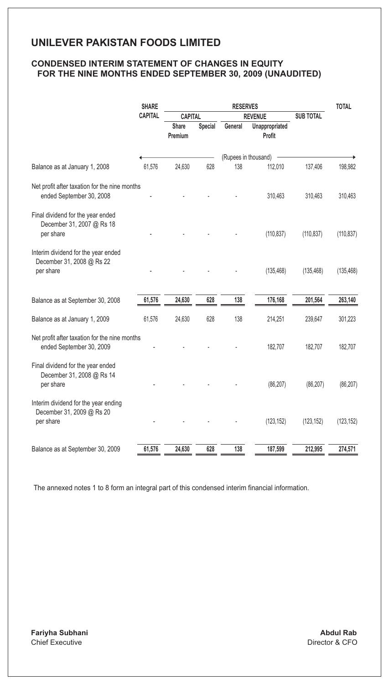### **CONDENSED INTERIM STATEMENT OF CHANGES IN EQUITY FOR THE NINE MONTHS ENDED SEPTEMBER 30, 2009 (UNAUDITED)**

|                                                                                | <b>SHARE</b>   | <b>RESERVES</b>  |                |                      | <b>TOTAL</b>                       |            |            |
|--------------------------------------------------------------------------------|----------------|------------------|----------------|----------------------|------------------------------------|------------|------------|
|                                                                                | <b>CAPITAL</b> |                  | <b>CAPITAL</b> |                      | <b>SUB TOTAL</b><br><b>REVENUE</b> |            |            |
|                                                                                |                | Share<br>Premium | Special        | General              | Unappropriated<br>Profit           |            |            |
|                                                                                |                |                  |                | (Rupees in thousand) |                                    |            |            |
| Balance as at January 1, 2008                                                  | 61,576         | 24,630           | 628            | 138                  | 112,010                            | 137,406    | 198,982    |
| Net profit after taxation for the nine months                                  |                |                  |                |                      |                                    |            |            |
| ended September 30, 2008                                                       |                |                  |                |                      | 310,463                            | 310,463    | 310,463    |
| Final dividend for the year ended<br>December 31, 2007 @ Rs 18<br>per share    |                |                  |                |                      | (110, 837)                         | (110, 837) | (110, 837) |
|                                                                                |                |                  |                |                      |                                    |            |            |
| Interim dividend for the year ended<br>December 31, 2008 @ Rs 22<br>per share  |                |                  |                |                      | (135, 468)                         | (135, 468) | (135, 468) |
| Balance as at September 30, 2008                                               | 61,576         | 24,630           | 628            | 138                  | 176,168                            | 201,564    | 263,140    |
| Balance as at January 1, 2009                                                  | 61,576         | 24,630           | 628            | 138                  | 214,251                            | 239,647    | 301,223    |
| Net profit after taxation for the nine months<br>ended September 30, 2009      |                |                  |                |                      | 182,707                            | 182,707    | 182,707    |
| Final dividend for the year ended<br>December 31, 2008 @ Rs 14<br>per share    |                |                  |                |                      | (86, 207)                          | (86, 207)  | (86, 207)  |
| Interim dividend for the year ending<br>December 31, 2009 @ Rs 20<br>per share |                |                  |                |                      | (123, 152)                         | (123, 152) | (123, 152) |
| Balance as at September 30, 2009                                               | 61,576         | 24,630           | 628            | 138                  | 187,599                            | 212,995    | 274,571    |
|                                                                                |                |                  |                |                      |                                    |            |            |

The annexed notes 1 to 8 form an integral part of this condensed interim financial information.

**Fariyha Subhani** Chief Executive

**Abdul Rab** Director & CFO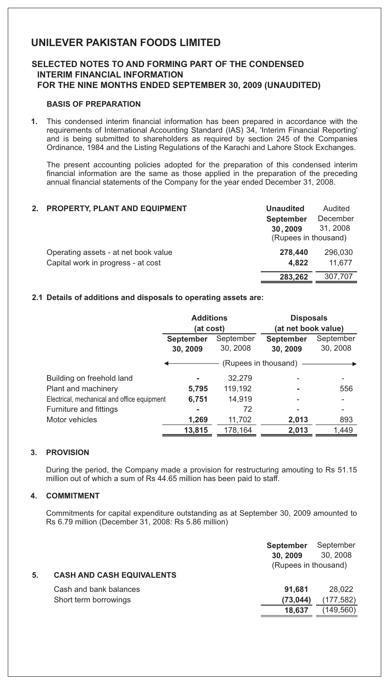### **SELECTED NOTES TO AND FORMING PART OF THE CONDENSED INTERIM FINANCIAL INFORMATION FOR THE NINE MONTHS ENDED SEPTEMBER 30, 2009 (UNAUDITED)**

### **BASIS OF PREPARATION**

**1.** This condensed interim financial information has been prepared in accordance with the requirements of International Accounting Standard (IAS) 34, 'Interim Financial Reporting' and is being submitted to shareholders as required by section 245 of the Companies Ordinance, 1984 and the Listing Regulations of the Karachi and Lahore Stock Exchanges.

The present accounting policies adopted for the preparation of this condensed interim financial information are the same as those applied in the preparation of the preceding annual financial statements of the Company for the year ended December 31, 2008.

#### **2. PROPERTY, PLANT AND EQUIPMENT Unaudited September**  Operating assets - at net book value Capital work in progress - at cost (Rupees in thousand) Audited **30, 2009 278,440** 296,030 **4,822** 11,677 **283,262** 307,707 December 31, 2008

### **2.1 Details of additions and disposals to operating assets are:**

|                                             | <b>Additions</b> |           | <b>Disposals</b>     |                     |
|---------------------------------------------|------------------|-----------|----------------------|---------------------|
|                                             |                  | (at cost) |                      | (at net book value) |
|                                             | <b>September</b> | September | <b>September</b>     | September           |
|                                             | 30, 2009         | 30, 2008  | 30, 2009             | 30, 2008            |
|                                             |                  |           | (Rupees in thousand) |                     |
| Building on freehold land                   |                  | 32,279    |                      |                     |
| Plant and machinery                         | 5,795            | 119,192   | ۰                    | 556                 |
| Electrical, mechanical and office equipment | 6,751            | 14,919    |                      |                     |
| Furniture and fittings                      |                  | 72        |                      |                     |
| Motor vehicles                              | 1,269            | 11,702    | 2,013                | 893                 |
|                                             | 13,815           | 178,164   | 2,013                | 1,449               |

#### **3. PROVISION**

During the period, the Company made a provision for restructuring amouting to Rs 51.15 million out of which a sum of Rs 44.65 million has been paid to staff.

#### **4. COMMITMENT**

Commitments for capital expenditure outstanding as at September 30, 2009 amounted to Rs 6.79 million (December 31, 2008: Rs 5.86 million)

| 5. | <b>CASH AND CASH EQUIVALENTS</b> | <b>September</b><br>30, 2009<br>(Rupees in thousand) | September<br>30, 2008 |
|----|----------------------------------|------------------------------------------------------|-----------------------|
|    | Cash and bank balances           | 91.681                                               | 28,022                |
|    | Short term borrowings            | (73, 044)                                            | (177, 582)            |
|    |                                  | 18.637                                               | (149,560)             |